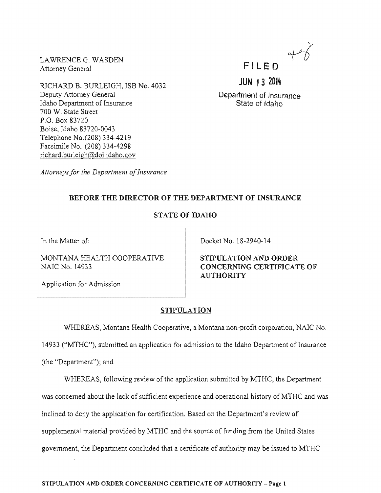LAWRENCE G. WASDEN Attorney General

Deputy Attorney General Idaho Department of Insurance

Boise, Idaho 83720-0043 Telephone No. (208) 334-4219 Facsimile No. (208) 334-4298  $richard.burleigh@doi.idaho.gov$ 

700 W. State Street P.O. Box 83720

FILED

JUN 1 3 2014

Department of Insurance State of Idaho

*Attorneys for the Department of Insurance* 

RlCHARD B. BURLEIGH, ISB No. 4032

# BEFORE THE DIRECTOR OF THE DEPARTMENT OF INSURANCE

## STATE OF IDAHO

In the Matter of:

MONTANA HEALTH COOPERATIVE NAlC No. 14933

Application for Admission

Docket No. 18-2940-14

STIPULATION AND ORDER CONCERNING CERTIFICATE OF **AUTHORITY** 

### STIPULATION

WHEREAS, Montana Health Cooperative, a Montana non-profit corporation, NAIC No.

14933 ("MTHC"), submitted an application for admission to the Idaho Department of Insurance

(the "Department"); and

WHEREAS, following review of the application submitted by MTHC, the Department was concerned about the lack of sufficient experience and operational history of MTHC and was inclined to deny the application for certification. Based on the Department's review of supplemental material provided by MTHC and the source of funding from the United States government, the Department concluded that a certificate of authority may be issued to MTHC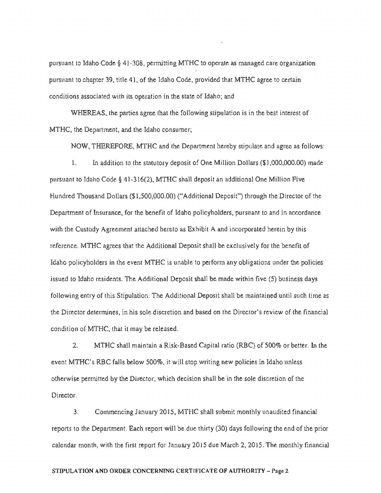pursuant to Idaho Code § 41-308, permitting MTHC to operate as managed care organization pursuant to chapter 39, title 41, of the Idaho Code, provided that MTHC agree to certain conditions associated with its operation in the state of Idaho; and

WHEREAS, the parties agree that the following stipulation is in the best interest of MTHC, the Department, and the Idaho consumer;

NOW, THEREFORE, MTHC and the Department hereby stipulate and agree as follows:

1. In addition to the statutory deposit of One Million Dollars (\$1,000,000.00) made pursuant to Idaho Code § 41-316(2), MTHC shall deposit an additional One Million Hundred Thousand Dollars (\$1,500,000.00) ("Additional Deposit") through the Director of the Department of Insurance, for the benefit of Idaho policyholders, pursuant to and in accordance with Custody Agreement attached *as* Exhibit A and incorporated herein by this reference. MTHC agrees that the Additional Deposit shall be exclusively for the benefit of Idaho policyholders in the event MTHC is unable to perform any obligations under the policies issued to Idaho residents. The Additional Deposit shall be made within five (5) business days following entry of this Stipulation. The Additional Deposit shall be maintained until such time as the Director determines, in his sole discretion and based on the Director's review of the financial condition of MTHC, that it may be released.

2. MTHC shall maintain a Risk-Based Capital ratio (RBC) of 500% or better. In the event MTHC's RBC falls below 500%, it will stop writing new policies in Idaho unless otherwise permitted by the Director, which decision shall be in the sole discretion of the Director.

3. Commencing January 2015, MTHC shall submit monthly unaudited financial reports to the Department. Each report will be due thirty (30) days following the end of the prior calendar month, with the first report for January 2015 due March 2, 2015. The monthly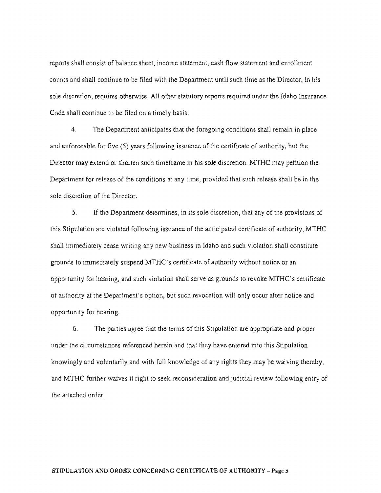reports shall consist of balance sheet, income statement, cash flow statement and enrollment counts and shall continue to be filed with the Department until such time as the Director, in his sole discretion, requires otherwise. All other statutory reports required under the Idaho Insurance Code shall continue to be filed on a timely basis.

4. The Department anticipates that the foregoing conditions shall remain in place and enforceable for five  $(5)$  years following issuance of the certificate of authority, but the Director may extend or shorten such timeframe in his sole discretion. MTHC may petition the Department for release of the conditions at any time, provided that such release shall be in the sole discretion of the Director.

5. If the Department determines, in its sole discretion, that any of the provisions of this Stipulation are violated following issuance of the anticipated certificate of authority, MTHC shall immediately cease writing any new business in Idaho and such violation shall constitute grounds to immediately suspend MTHC's certificate of authority without notice or an opportunity for hearing, and such violation shall serve as grounds to revoke MTHC's certificate of authority at the Department's option, but such revocation will only occur after notice and opportunity for hearing.

6. The parties agree that the terms of this Stipulation are appropriate and proper under the circumstances referenced herein and that they have entered into this Stipulation knowingly and voluntarily and with full knowledge of any rights they may be waiving thereby, and MTHC further waives it right to seek reconsideration and judicial review following entry of the attached order.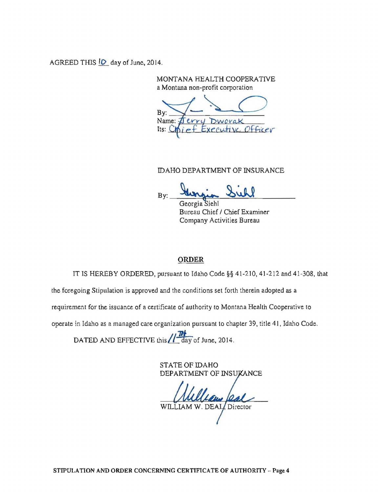AGREED THIS **10** day of June, 2014.

MONTANA HEALTH COOPERATIVE a Montana non-profit corporation

B<sub>v</sub> Name:  $err1$ Its:

DAHO DEPARTMENT OF INSURANCE<br>By: <u>Surgia Sull</u>

Bureau Chief / Chief Examiner Company Activities Bureau

### ORDER

IT IS HEREBY ORDERED, pursuant to rdaho Code §§ 41-210, 41-212 and 41-308, that

the foregoing StipuJation is approved and the conditions set forth therein adopted as a

requirement for the issuance of a certificate of authority to Montana Health Cooperative to

operate in Idaho as a managed care organization pursuant to chapter 39, title 41, Idaho Code.

DATED AND EFFECTIVE this **//**<sup>174</sup>/<sub>day</sub> of June, 2014.

STATE OF IDAHO DEPARTMENT OF INSUKANCE

WILLIAM W. DEAL Director